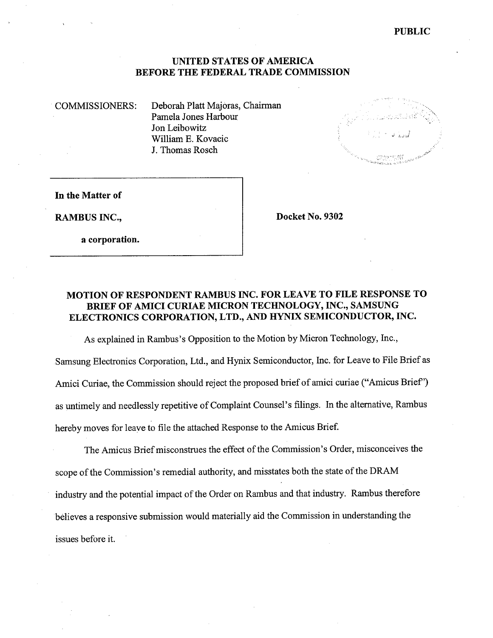PUBLIC

### UNITED STATES OF AMERICA BEFORE THE FEDERAL TRADE COMMISSION

COMMISSIONERS: Deborah Platt Majoras, Chairman Pamela Jones Harbour Jon Leibowitz William E. Kovacic J. Thomas Rosch



In the Matter of

RAMBUS INC., Docket No. 9302

a corporation.

# MOTION OF RESPONDENT RAMBUS INC. FOR LEAVE TO FILE RESPONSE TO BRIEF OF AMICI CURIAE MICRON TECHNOLOGY, INC., SAMSUNG ELECTRONICS CORPORATION, LTD., AND HYNIX SEMICONDUCTOR, INC.

As explained in Rambus's Opposition to the Motion by Micron Technology, Inc.,

Samsung Electronics Corporation, Ltd., and Hynix Semiconductor, Inc. for Leave to File Brief as Amici Curiae, the Commission should reject the proposed brief of amici curiae ("Amicus Brief") as untimely and needlessly repetitive of Complaint Counsel's filings. In the alternative, Rambus hereby moves for leave to fie the attached Response to the Amicus Brief.

The Amicus Brief misconstrues the effect of the Commission's Order, misconceives the scope of the Commission's remedial authority, and misstates both the state of the DRAM industry and the potential impact of the Order on Rambus and that industry. Rambus therefore believes a responsive submission would materially aid the Commission in understanding the issues before it.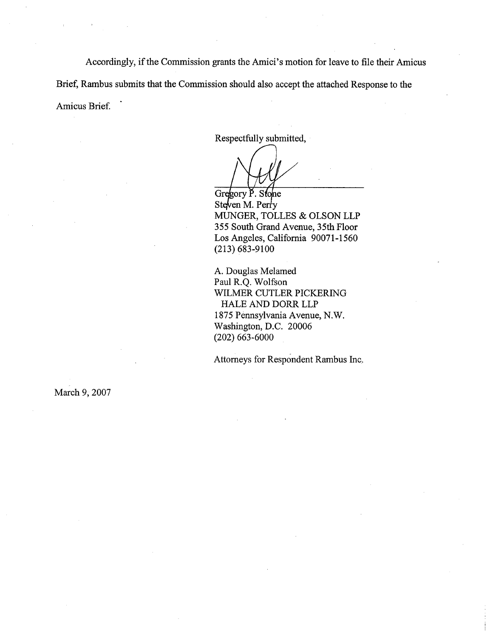Accordingly, if the Commission grants the Amici's motion for leave to file their Amicus Brief, Rambus submits that the Commission should also accept the attached Response to the Amicus Brief.

Respectfully submitted

Gregory P. Stone Steven M. Perry MUGER, TOLLES & OLSON LLP 355 South Grand Avenue, 35th Floor Los Angeles, California 90071-1560 (213) 683-9100

A. Douglas Melamed Paul R.Q. Wolfson WILMER CUTLER PICKERING HALE AND DORR LLP 1875 Pennsylvania Avenue, N. Washington, D.C. 20006 (202) 663-6000

Attorneys for Respondent Rambus Inc.

March 9, 2007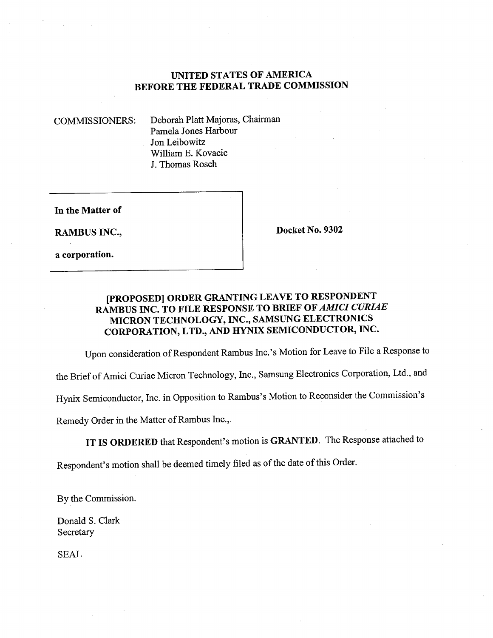# UNITED STATES OF AMERICA BEFORE THE FEDERAL TRADE COMMISSION

COMMISSIONERS: Deborah Platt Majoras, Chairman Pamela Jones Harbour Jon Leibowitz Willam E. Kovacic J. Thomas Rosch

In the Matter of

a corporation.

RAMBUS INC., Docket No. 9302

# (PROPOSED) ORDER GRATING LEAVE TO RESPONDENT RAMBUS INC. TO FILE RESPONSE TO BRIEF OF AMICI CURIAE MICRON TECHNOLOGY, INC., SAMSUNG ELECTRONICS CORPORATION, LTD., AND HYNIX SEMICONDUCTOR, INC.

Upon consideration of Respondent Rambus Inc.'s Motion for Leave to File a Response to

the Brief of Amici Curae Micron Technology, Inc., Samsung Electronics Corporation, Ltd., and

Hynix Semiconductor, Inc. in Opposition to Rambus's Motion to Reconsider the Commission's

Remedy Order in the Matter of Rambus Inc.

IT IS ORDERED that Respondent's motion is GRANTED. The Response attached to

Respondent's motion shall be deemed timely filed as of the date of this Order.

By the Commission.

Donald S. Clark Secretary

SEAL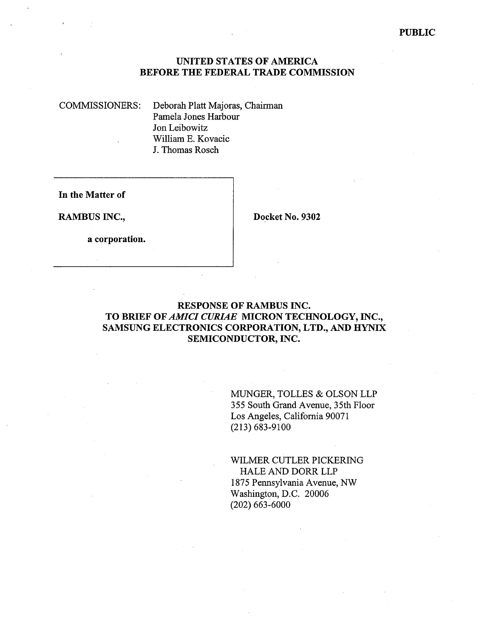### UNITED STATES OF AMERICA BEFORE THE FEDERAL TRADE COMMISSION

COMMISSIONERS: Deborah Platt Majoras, Chairman Pamela Jones Harbour Jon Leibowitz Willam E. Kovacic J. Thomas Rosch

In the Matter of

RAMBUS INC., Docket No. 9302

a corporation.

# RESPONSE OF RAMBUS INC. TO BRIEF OF AMICI CURIAE MICRON TECHNOLOGY, INC., SAMSUNG ELECTRONICS CORPORATION, LTD., AND HYNIX SEMICONDUCTOR, INC.

MUGER, TOLLES & OLSON LLP 355 South Grand Avenue, 35th Floor Los Angeles, California 90071 (213) 683-9100

WILMER CUTLER PICKERING HALE AND DORR LLP 1875 Pennsylvania Avenue, NW Washington, D.C. 20006 (202) 663-6000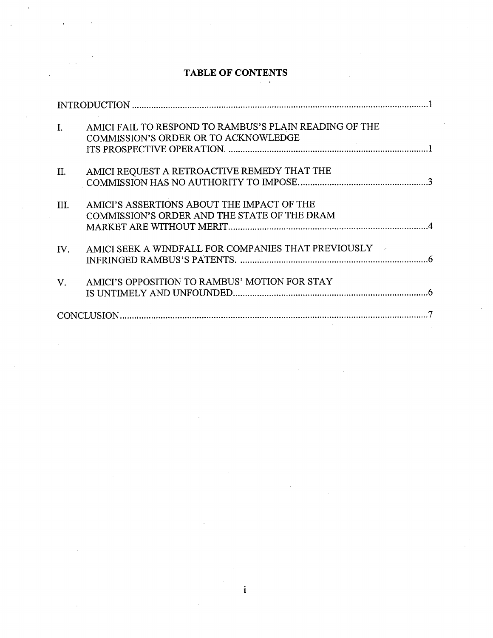### TABLE OF CONTENTS

| $\mathbf{I}$ . | AMICI FAIL TO RESPOND TO RAMBUS'S PLAIN READING OF THE<br>COMMISSION'S ORDER OR TO ACKNOWLEDGE |  |
|----------------|------------------------------------------------------------------------------------------------|--|
| П.             | AMICI REQUEST A RETROACTIVE REMEDY THAT THE                                                    |  |
| III.           | AMICI'S ASSERTIONS ABOUT THE IMPACT OF THE<br>COMMISSION'S ORDER AND THE STATE OF THE DRAM     |  |
| IV.            | AMICI SEEK A WINDFALL FOR COMPANIES THAT PREVIOUSLY                                            |  |
| $V_{\cdot}$    | AMICI'S OPPOSITION TO RAMBUS' MOTION FOR STAY                                                  |  |
|                |                                                                                                |  |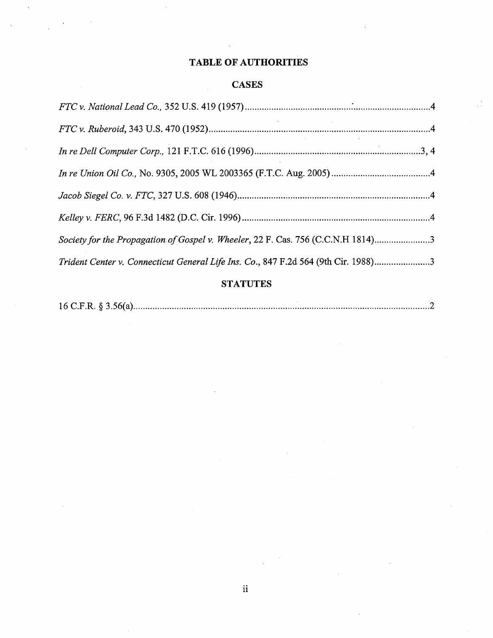### TABLE OF AUTHORITIES

### CASES

| $\label{eq:2.1} \frac{1}{\sqrt{2}}\left(\frac{1}{\sqrt{2}}\right)^{2} \left(\frac{1}{\sqrt{2}}\right)^{2} \left(\frac{1}{\sqrt{2}}\right)^{2} \left(\frac{1}{\sqrt{2}}\right)^{2} \left(\frac{1}{\sqrt{2}}\right)^{2} \left(\frac{1}{\sqrt{2}}\right)^{2} \left(\frac{1}{\sqrt{2}}\right)^{2} \left(\frac{1}{\sqrt{2}}\right)^{2} \left(\frac{1}{\sqrt{2}}\right)^{2} \left(\frac{1}{\sqrt{2}}\right)^{2} \left(\frac{1}{\sqrt{2}}\right)^{2} \left(\$ |  |
|--------------------------------------------------------------------------------------------------------------------------------------------------------------------------------------------------------------------------------------------------------------------------------------------------------------------------------------------------------------------------------------------------------------------------------------------------------|--|
|                                                                                                                                                                                                                                                                                                                                                                                                                                                        |  |
|                                                                                                                                                                                                                                                                                                                                                                                                                                                        |  |
|                                                                                                                                                                                                                                                                                                                                                                                                                                                        |  |
|                                                                                                                                                                                                                                                                                                                                                                                                                                                        |  |
| Society for the Propagation of Gospel v. Wheeler, 22 F. Cas. 756 (C.C.N.H 1814)3                                                                                                                                                                                                                                                                                                                                                                       |  |
| Trident Center v. Connecticut General Life Ins. Co., 847 F.2d 564 (9th Cir. 1988)3                                                                                                                                                                                                                                                                                                                                                                     |  |

# **STATUTES**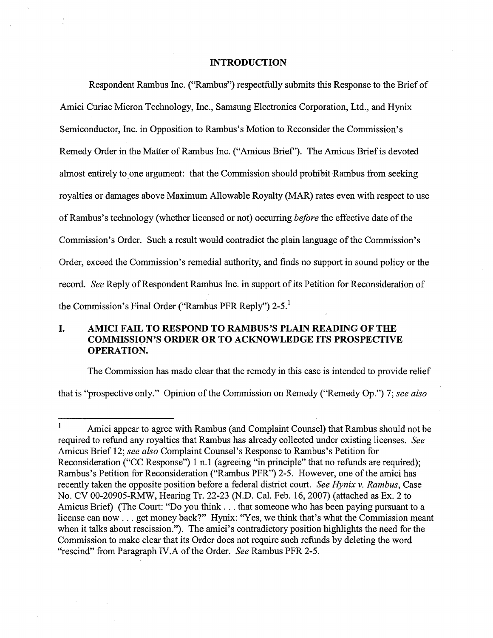### INTRODUCTION

Respondent Rambus Inc. ("Rambus") respectfully submits this Response to the Brief of Amici Curiae Micron Technology, Inc., Samsung Electronics Corporation, Ltd., and Hynix Semiconductor, Inc. in Opposition to Rambus's Motion to Reconsider the Commission's Remedy Order in the Matter of Rambus Inc. ("Amicus Brief' ). The Amicus Brief is devoted almost entirely to one argument: that the Commission should prohibit Rambus from seeking royalties or damages above Maximum Allowable Royalty (MAR) rates even with respect to use of Rambus's technology (whether licensed or not) occurring *before* the effective date of the Commission's Order. Such a result would contradict the plain language of the Commission's Order, exceed the Commission's remedial authority, and finds no support in sound policy or the record. See Reply of Respondent Rambus Inc. in support of its Petition for Reconsideration of the Commission's Final Order ("Rambus PFR Reply")  $2-5$ .<sup>1</sup>

#### I. AMICI FAIL TO RESPOND TO RAMBUS'S PLAIN READING OF THE COMMISSION'S ORDER OR TO ACKNOWLEDGE ITS PROSPECTIVE OPERATION.

The Commission has made clear that the remedy in this case is intended to provide relief

that is "prospective only." Opinion of the Commission on Remedy ("Remedy Op.") 7; see also

 $\mathbf{1}$ Amici appear to agree with Rambus (and Complaint Counsel) that Rambus should not be required to refund any royalties that Rambus has already collected under existing licenses. See Amicus Brief 12; see also Complaint Counsel's Response to Rambus's Petition for Reconsideration ("CC Response") 1 n.1 (agreeing "in principle" that no refunds are required); Rambus's Petition for Reconsideration ("Rambus PFR") 2-5. However, one of the amici has recently taken the opposite position before a federal district court. See Hynix v. Rambus, Case No. CV 00-20905-RMW, Hearing Tr. 22-23 (N.D. Cal. Feb. 16, 2007) (attached as Ex. 2 to Amicus Brief) (The Court: "Do you think. . . that someone who has been paying pursuant to a license can now . . . get money back?" Hynix: "Yes, we think that's what the Commission meant when it talks about rescission."). The amici's contradictory position highlights the need for the Commission to make clear that its Order does not require such refuds by deleting the word rescind" from Paragraph IV.A of the Order. See Rambus PFR 2-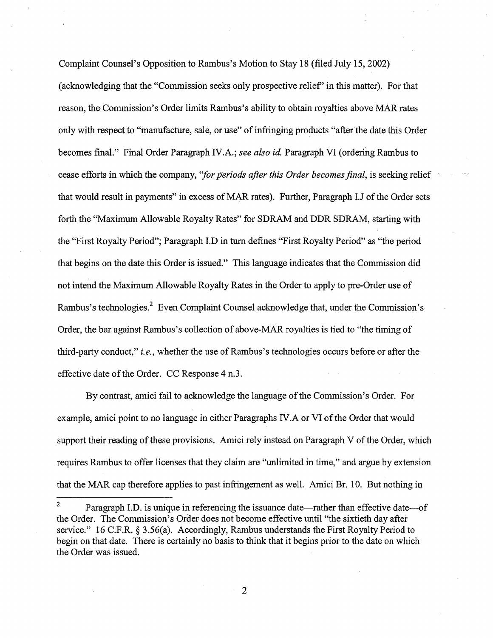Complaint Counsel's Opposition to Rambus's Motion to Stay 18 (filed July 15, 2002) (acknowledging that the "Commission seeks only prospective relief' in this matter). For that reason, the Commission's Order limits Rambus's ability to obtain royalties above MAR rates only with respect to "manufactue, sale, or use" of infrnging products "after the date this Order becomes final." Final Order Paragraph IV.A.; see also id. Paragraph VI (ordering Rambus to cease efforts in which the company, "*for periods after this Order becomes final*, is seeking relief that would result in payments" in excess of MAR rates). Further, Paragraph I.J of the Order sets forth the "Maximum Allowable Royalty Rates" for SDRAM and DDR SDRAM, starting with the "First Royalty Period"; Paragraph LD in turn defines "First Royalty Period" as "the period that begins on the date this Order is issued." This language indicates that the Commission did not intend the Maximum Allowable Royalty Rates in the Order to apply to pre-Order use of Rambus's technologies.<sup>2</sup> Even Complaint Counsel acknowledge that, under the Commission's Order, the bar against Rambus's collection of above-MAR royalties is tied to "the timing of third-party conduct," *i.e.*, whether the use of Rambus's technologies occurs before or after the effective date of the Order. CC Response 4 n.

By contrast, amici fail to acknowledge the language of the Commission's Order. For example, amici point to no language in either Paragraphs IV.A or VI of the Order that would support their reading of these provisions. Amici rely instead on Paragraph V of the Order, which requires Rambus to offer licenses that they claim are "unlimited in time " and argue by extension that the MAR cap therefore applies to past infrngement as well. Amici Br. 10. But nothing in

Paragraph I.D. is unique in referencing the issuance date—rather than effective date—of the Order. The Commission's Order does not become effective until "the sixtieth day after service." 16 C.F.R. § 3.56(a). Accordingly, Rambus understands the First Royalty Period to begin on that date. There is certainly no basis to think that it begins prior to the date on which the Order was issued.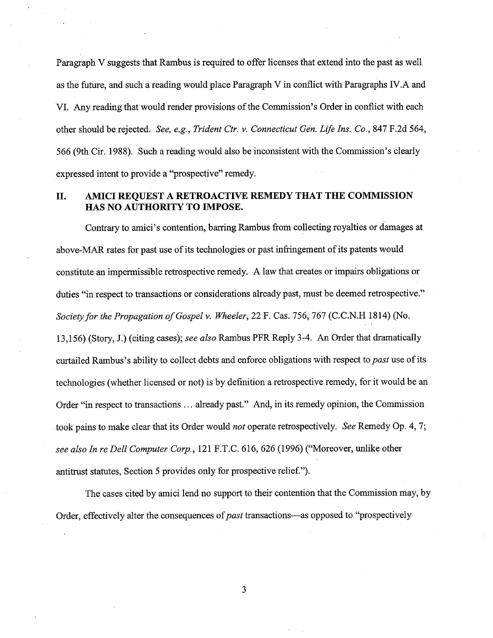Paragraph V suggests that Rambus is required to offer licenses that extend into the past as well as the future, and such a reading would place Paragraph V in conflict with Paragraphs IV.A and VI. Any reading that would render provisions of the Commission's Order in conflict with each other should be rejected. See, e.g., Trident Ctr. v. Connecticut Gen. Life Ins. Co., 847 F.2d 564, 566 (9th Cir. 1988). Such a reading would also be inconsistent with the Commission's clearly expressed intent to provide a "prospective" remedy.

# II. AMICI REQUEST A RETROACTIVE REMEDY THAT THE COMMISSION HAS NO AUTHORITY TO IMPOSE.

Contrary to amici's contention, barring Rambus from collecting royalties or damages at above-MAR rates for past use of its technologies or past infringement of its patents would constitute an impermissible retrospective remedy. A law that creates or impairs obligations or duties "in respect to transactions or considerations already past, must be deemed retrospective." Society for the Propagation of Gospel v. Wheeler, 22 F. Cas. 756, 767 (C.C.N.H 1814) (No. 13,156) (Story, J.) (citing cases); see also Rambus PFR Reply 3-4. An Order that dramatically curtailed Rambus's ability to collect debts and enforce obligations with respect to past use of its technologies (whether licensed or not) is by definition a retrospective remedy, for it would be an Order "in respect to transactions... already past." And, in its remedy opinion, the Commission took pains to make clear that its Order would *not* operate retrospectively. See Remedy Op. 4, 7; see also In re Dell Computer Corp., 121 F.T.C. 616, 626 (1996) ("Moreover, unlike other antitrust statutes, Section 5 provides only for prospective relief."

The cases cited by amici lend no support to their contention that the Commission may, by Order, effectively alter the consequences of *past* transactions—as opposed to "prospectively

3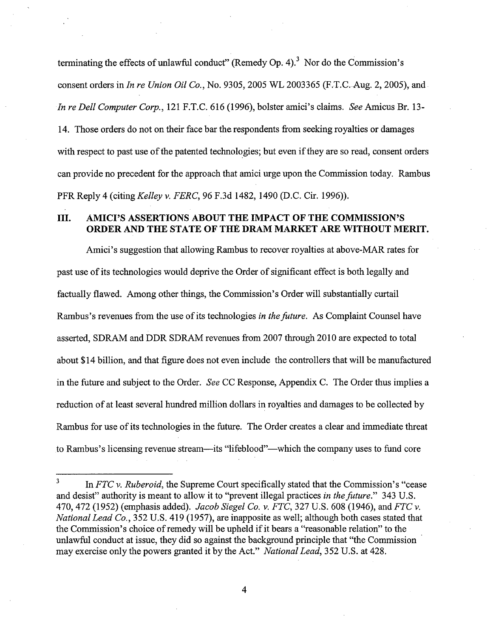terminating the effects of unlawful conduct" (Remedy Op. 4).<sup>3</sup> Nor do the Commission's consent orders in *In re Union Oil Co.*, No. 9305, 2005 WL 2003365 (F.T.C. Aug. 2, 2005), and In re Dell Computer Corp., 121 F.T.C. 616 (1996), bolster amici's claims. See Amicus Br. 13-14. Those orders do not on their face bar the respondents from seeking royalties or damages with respect to past use of the patented technologies; but even if they are so read, consent orders can provide no precedent for the approach that amici urge upon the Commission today. Rambus PFR Reply 4 (citing Kelley v. FERC, 96 F.3d 1482, 1490 (D.C. Cir. 1996)).

# III. AMICI'S ASSERTIONS ABOUT THE IMPACT OF THE COMMISSION'S ORDER AND THE STATE OF THE DRAM MARKET ARE WITHOUT MERIT.

Amici's suggestion that allowing Rambus to recover royalties at above-MAR rates for past use of its technologies would deprive the Order of significant effect is both legally and factually flawed. Among other things, the Commission's Order will substantially curtail Rambus's revenues from the use of its technologies in the future. As Complaint Counsel have asserted, SDRAM and DDR SDRAM revenues from 2007 through 2010 are expected to total about \$14 bilion, and that figure does not even include the controllers that wil be manufactued in the future and subject to the Order. See CC Response, Appendix C. The Order thus implies a reduction of at least several hundred milion dollars in royalties and damages to be collected by Rambus for use of its technologies in the futue. The Order creates a clear and immediate threat to Rambus's licensing revenue stream—its "lifeblood"—which the company uses to fund core

 $\overline{\mathbf{4}}$ 

In  $FTC$  v. Ruberoid, the Supreme Court specifically stated that the Commission's "cease" and desist" authority is meant to allow it to "prevent illegal practices in the future." 343 U.S. 470, 472 (1952) (emphasis added). *Jacob Siegel Co. v. FTC*, 327 U.S. 608 (1946), and *FTC* v. National Lead Co., 352 U.S. 419 (1957), are inapposite as well; although both cases stated that the Commission's choice of remedy will be upheld if it bears a "reasonable relation" to the unlawful conduct at issue, they did so against the background principle that "the Commission may exercise only the powers granted it by the Act." National Lead, 352 U.S. at 428.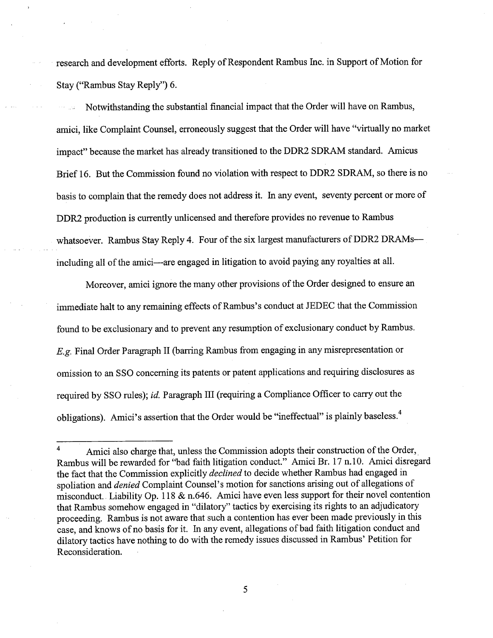research and development efforts. Reply of Respondent Rambus Inc. in Support of Motion for Stay ("Rambus Stay Reply") 6.

Notwithstanding the substantial financial impact that the Order will have on Rambus, amici, like Complaint Counsel, erroneously suggest that the Order will have "virtually no market impact" because the market has already transitioned to the DDR2 SDRAM standard. Amicus Brief 16. But the Commission found no violation with respect to DDR2 SDRAM, so there is no basis to complain that the remedy does not address it. In any event, seventy percent or more of DDR2 production is curently unlicensed and therefore provides no revenue to Rambus whatsoever. Rambus Stay Reply 4. Four of the six largest manufacturers of DDR2 DRAMs-including all of the amici—are engaged in litigation to avoid paying any royalties at all.

Moreover, amici ignore the many other provisions of the Order designed to ensure an immediate halt to any remaining effects of Rambus's conduct at JEDEC that the Commission found to be exclusionary and to prevent any resumption of exclusionary conduct by Rambus. E.g. Final Order Paragraph II (barring Rambus from engaging in any misrepresentation or omission to an SSO concerning its patents or patent applications and requiring disclosures as required by SSO rules); id. Paragraph III (requiring a Compliance Officer to carry out the obligations). Amici's assertion that the Order would be "ineffectual" is plainly baseless.<sup>4</sup>

Amici also charge that, unless the Commission adopts their construction of the Order Rambus will be rewarded for "bad faith litigation conduct." Amici Br. 17 n.10. Amici disregard the fact that the Commission explicitly *declined* to decide whether Rambus had engaged in spoliation and *denied* Complaint Counsel's motion for sanctions arising out of allegations of misconduct. Liability Op. 118 & n.646. Amici have even less support for their novel contention that Rambus somehow engaged in "dilatory" tactics by exercising its rights to an adjudicatory proceeding. Rambus is not aware that such a contention has ever been made previously in this case, and knows of no basis for it. In any event, allegations of bad faith litigation conduct and dilatory tactics have nothing to do with the remedy issues discussed in Rambus' Petition for Reconsideration.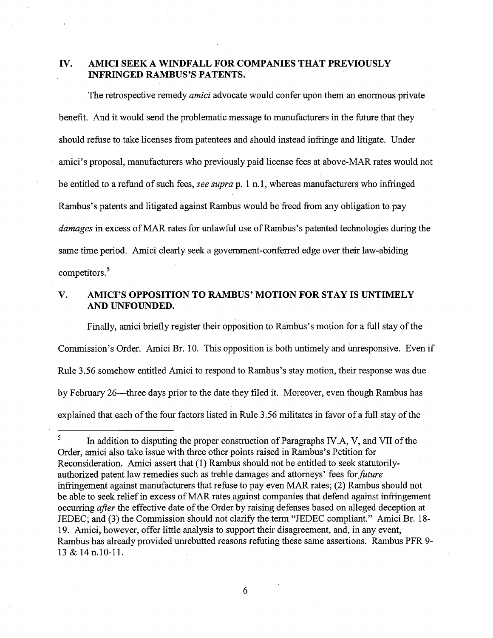# IV. AMICI SEEK A WINDFALL FOR COMPANIES THAT PREVIOUSLY INFRNGED RAMBUS'S PATENTS.

The retrospective remedy amici advocate would confer upon them an enormous private benefit. And it would send the problematic message to manufacturers in the future that they should refuse to take licenses from patentees and should instead infringe and litigate. Under amici's proposal, manufacturers who previously paid license fees at above-MAR rates would not be entitled to a refund of such fees, see supra p. 1 n.1, whereas manufacturers who infringed Rambus's patents and litigated against Rambus would be freed from any obligation to pay damages in excess of MAR rates for unlawful use of Rambus's patented technologies during the same time period. Amici clearly seek a government-conferred edge over their law-abiding competitors.<sup>5</sup>

#### AMICI'S OPPOSITION TO RAMBUS' MOTION FOR STAY IS UNTIMELY V. AND UNFOUNDED.

Finally, amici briefly register their opposition to Rambus's motion for a full stay of the Commission's Order. Amici Br. 10. This opposition is both untimely and unresponsive. Even if Rule 3.56 somehow entitled Amici to respond to Rambus's stay motion, their response was due by February 26—three days prior to the date they filed it. Moreover, even though Rambus has explained that each of the four factors listed in Rule 3.56 militates in favor of a full stay of the

6

In addition to disputing the proper construction of Paragraphs IV.A,  $V$ , and VII of the Order, amici also take issue with three other points raised in Rambus's Petition for Reconsideration. Amici assert that (1) Rambus should not be entitled to seek statutorilyauthorized patent law remedies such as treble damages and attorneys' fees for *future* infringement against manufacturers that refuse to pay even MAR rates; (2) Rambus should not be able to seek relief in excess of MAR rates against companies that defend against infringement occurring *after* the effective date of the Order by raising defenses based on alleged deception at JEDEC; and (3) the Commission should not clarfy the term "JEDEC compliant." Amici Br. 18 19. Amici, however, offer little analysis to support their disagreement, and, in any event Rambus has already provided unrebutted reasons refuting these same assertions. Rambus PFR 9 13 & 14 n.10-11.